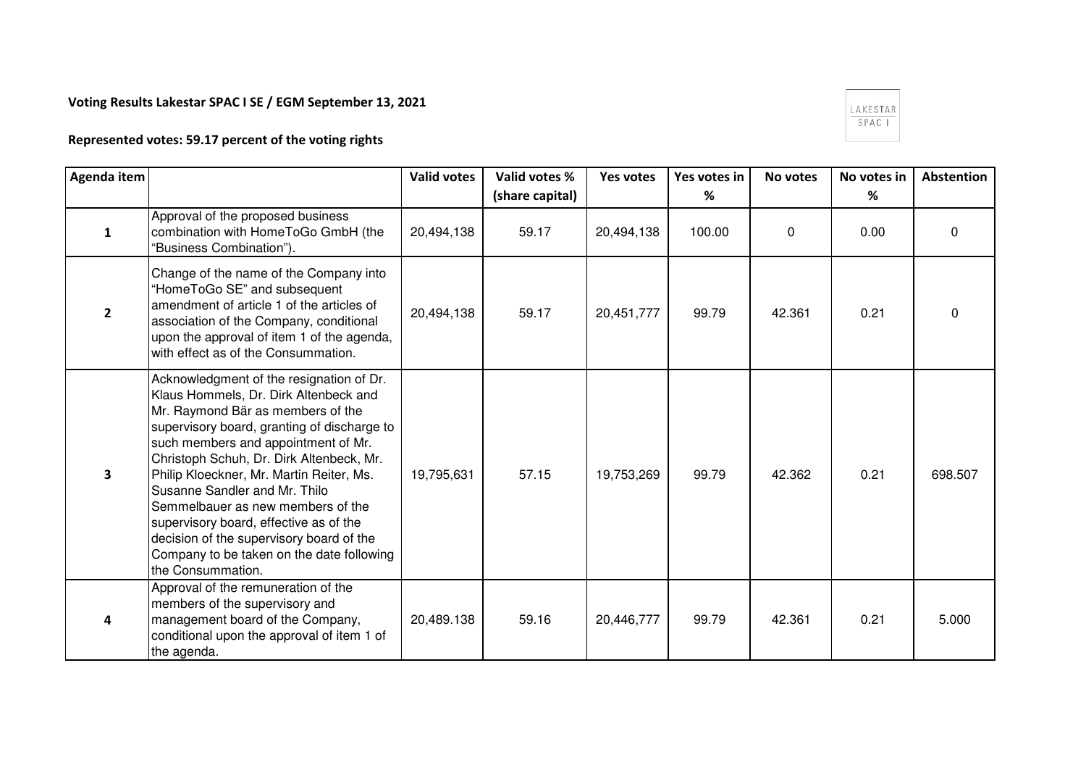## **Voting Results Lakestar SPAC I SE / EGM September 13, 2021**

## $\begin{array}{|l|} \hline \texttt{LAKESTAR} \\ \hline \texttt{SPAC I} \end{array}$

## **Represented votes: 59.17 percent of the voting rights**

| Agenda item    |                                                                                                                                                                                                                                                                                                                                                                                                                                                                                                                                    | <b>Valid votes</b> | Valid votes %   | Yes votes  | Yes votes in | No votes | No votes in | Abstention |
|----------------|------------------------------------------------------------------------------------------------------------------------------------------------------------------------------------------------------------------------------------------------------------------------------------------------------------------------------------------------------------------------------------------------------------------------------------------------------------------------------------------------------------------------------------|--------------------|-----------------|------------|--------------|----------|-------------|------------|
|                |                                                                                                                                                                                                                                                                                                                                                                                                                                                                                                                                    |                    | (share capital) |            | %            |          | %           |            |
| $\mathbf{1}$   | Approval of the proposed business<br>combination with HomeToGo GmbH (the<br>'Business Combination").                                                                                                                                                                                                                                                                                                                                                                                                                               | 20,494,138         | 59.17           | 20,494,138 | 100.00       | 0        | 0.00        | 0          |
| $\overline{2}$ | Change of the name of the Company into<br>"HomeToGo SE" and subsequent<br>amendment of article 1 of the articles of<br>association of the Company, conditional<br>upon the approval of item 1 of the agenda,<br>with effect as of the Consummation.                                                                                                                                                                                                                                                                                | 20,494,138         | 59.17           | 20,451,777 | 99.79        | 42.361   | 0.21        | 0          |
| 3              | Acknowledgment of the resignation of Dr.<br>Klaus Hommels, Dr. Dirk Altenbeck and<br>Mr. Raymond Bär as members of the<br>supervisory board, granting of discharge to<br>such members and appointment of Mr.<br>Christoph Schuh, Dr. Dirk Altenbeck, Mr.<br>Philip Kloeckner, Mr. Martin Reiter, Ms.<br>Susanne Sandler and Mr. Thilo<br>Semmelbauer as new members of the<br>supervisory board, effective as of the<br>decision of the supervisory board of the<br>Company to be taken on the date following<br>the Consummation. | 19,795,631         | 57.15           | 19,753,269 | 99.79        | 42.362   | 0.21        | 698.507    |
| 4              | Approval of the remuneration of the<br>members of the supervisory and<br>management board of the Company,<br>conditional upon the approval of item 1 of<br>the agenda.                                                                                                                                                                                                                                                                                                                                                             | 20,489.138         | 59.16           | 20,446,777 | 99.79        | 42.361   | 0.21        | 5.000      |